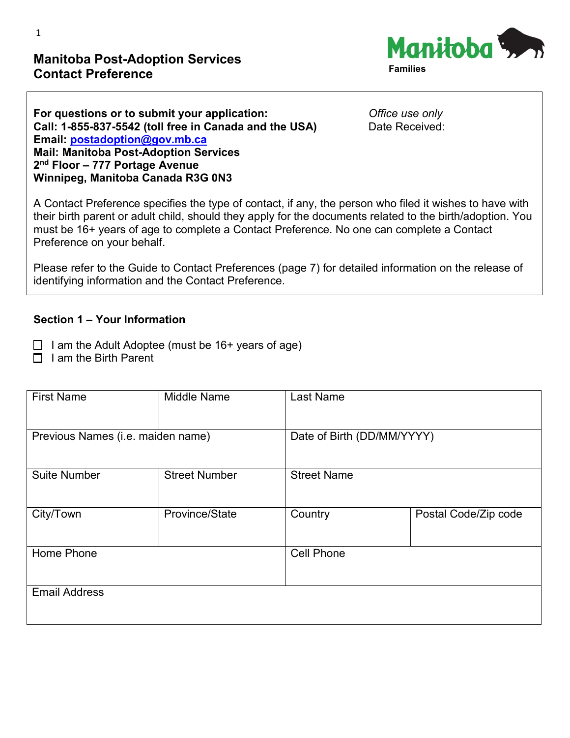## **Manitoba Post-Adoption Services Contact Preference**



| For questions or to submit your application:           |   |
|--------------------------------------------------------|---|
| Call: 1-855-837-5542 (toll free in Canada and the USA) | г |
| Email: postadoption@gov.mb.ca                          |   |
| <b>Mail: Manitoba Post-Adoption Services</b>           |   |
| $2nd$ Floor - 777 Portage Avenue                       |   |
| Winnipeg, Manitoba Canada R3G 0N3                      |   |

**For questions or to submit your application:** *Office use only* Date Received:

A Contact Preference specifies the type of contact, if any, the person who filed it wishes to have with their birth parent or adult child, should they apply for the documents related to the birth/adoption. You must be 16+ years of age to complete a Contact Preference. No one can complete a Contact Preference on your behalf.

Please refer to the Guide to Contact Preferences (page 7) for detailed information on the release of identifying information and the Contact Preference.

#### **Section 1 – Your Information**

- $\Box$  I am the Adult Adoptee (must be 16+ years of age)
- $\Box$  I am the Birth Parent

| <b>First Name</b>                 | <b>Middle Name</b>   | <b>Last Name</b>                |  |
|-----------------------------------|----------------------|---------------------------------|--|
|                                   |                      |                                 |  |
| Previous Names (i.e. maiden name) |                      | Date of Birth (DD/MM/YYYY)      |  |
|                                   |                      |                                 |  |
| <b>Suite Number</b>               | <b>Street Number</b> | <b>Street Name</b>              |  |
|                                   |                      |                                 |  |
| City/Town                         | Province/State       | Country<br>Postal Code/Zip code |  |
|                                   |                      |                                 |  |
| Home Phone                        |                      | <b>Cell Phone</b>               |  |
|                                   |                      |                                 |  |
| <b>Email Address</b>              |                      |                                 |  |
|                                   |                      |                                 |  |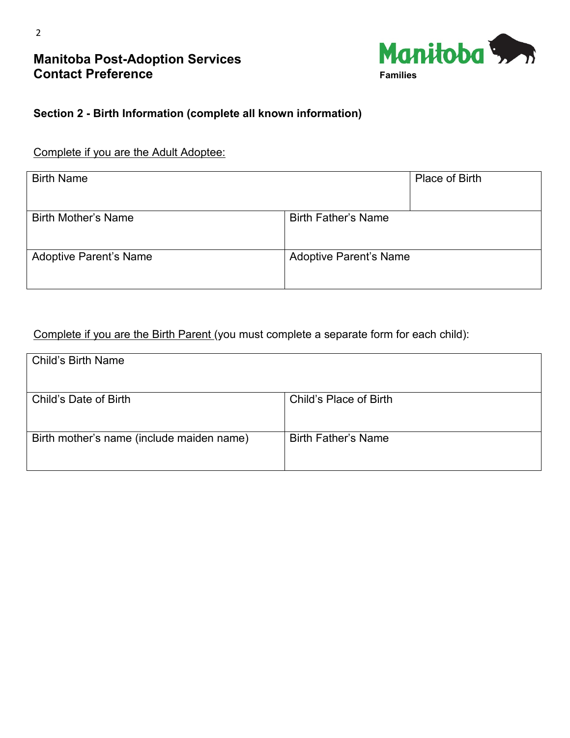## **Manitoba Post-Adoption Services Contact Preference**



## **Section 2 - Birth Information (complete all known information)**

### Complete if you are the Adult Adoptee:

| <b>Birth Name</b>             |                               | Place of Birth |
|-------------------------------|-------------------------------|----------------|
| <b>Birth Mother's Name</b>    | <b>Birth Father's Name</b>    |                |
| <b>Adoptive Parent's Name</b> | <b>Adoptive Parent's Name</b> |                |

## Complete if you are the Birth Parent (you must complete a separate form for each child):

| <b>Child's Birth Name</b>                 |                            |
|-------------------------------------------|----------------------------|
| Child's Date of Birth                     | Child's Place of Birth     |
| Birth mother's name (include maiden name) | <b>Birth Father's Name</b> |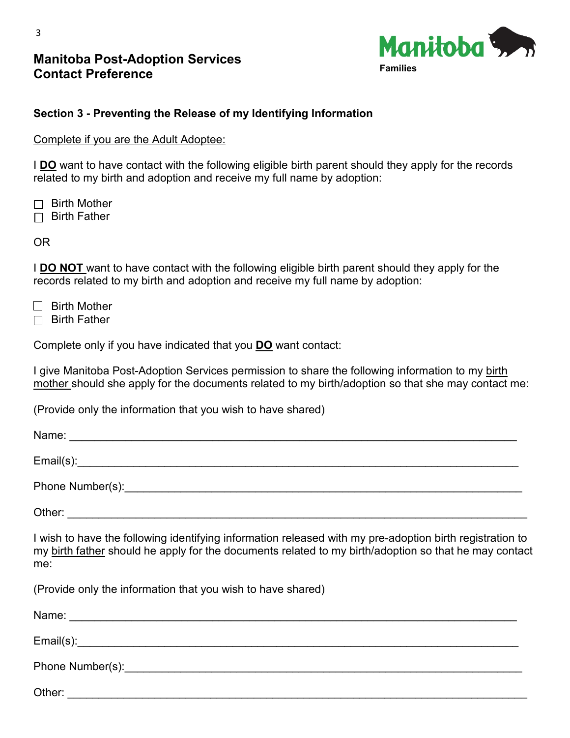## **Manitoba Post-Adoption Services Contact Preference**



## **Section 3 - Preventing the Release of my Identifying Information**

Complete if you are the Adult Adoptee:

I **DO** want to have contact with the following eligible birth parent should they apply for the records related to my birth and adoption and receive my full name by adoption:

 $\Box$  Birth Mother  $\Box$  Birth Father

OR

I **DO NOT** want to have contact with the following eligible birth parent should they apply for the records related to my birth and adoption and receive my full name by adoption:

- $\Box$  Birth Mother
- $\Box$  Birth Father

Complete only if you have indicated that you **DO** want contact:

I give Manitoba Post-Adoption Services permission to share the following information to my birth mother should she apply for the documents related to my birth/adoption so that she may contact me:

(Provide only the information that you wish to have shared)

| I wish to have the following identifying information released with my pre-adoption birth registration to<br>my birth father should he apply for the documents related to my birth/adoption so that he may contact<br>me: |
|--------------------------------------------------------------------------------------------------------------------------------------------------------------------------------------------------------------------------|
| (Provide only the information that you wish to have shared)                                                                                                                                                              |
|                                                                                                                                                                                                                          |
|                                                                                                                                                                                                                          |
|                                                                                                                                                                                                                          |
|                                                                                                                                                                                                                          |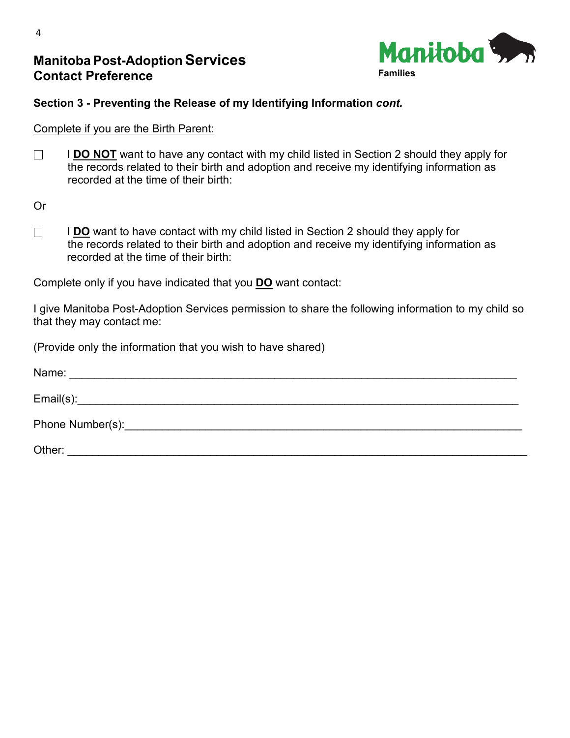## **Manitoba Post-Adoption Services Contact Preference**



#### **Section 3 - Preventing the Release of my Identifying Information** *cont.*

Complete if you are the Birth Parent:

 $\Box$  I **DO NOT** want to have any contact with my child listed in Section 2 should they apply for the records related to their birth and adoption and receive my identifying information as recorded at the time of their birth:

Or

**IDO** want to have contact with my child listed in Section 2 should they apply for the records related to their birth and adoption and receive my identifying information as recorded at the time of their birth:

Complete only if you have indicated that you **DO** want contact:

I give Manitoba Post-Adoption Services permission to share the following information to my child so that they may contact me:

(Provide only the information that you wish to have shared)

| Name:  |
|--------|
|        |
|        |
| Other: |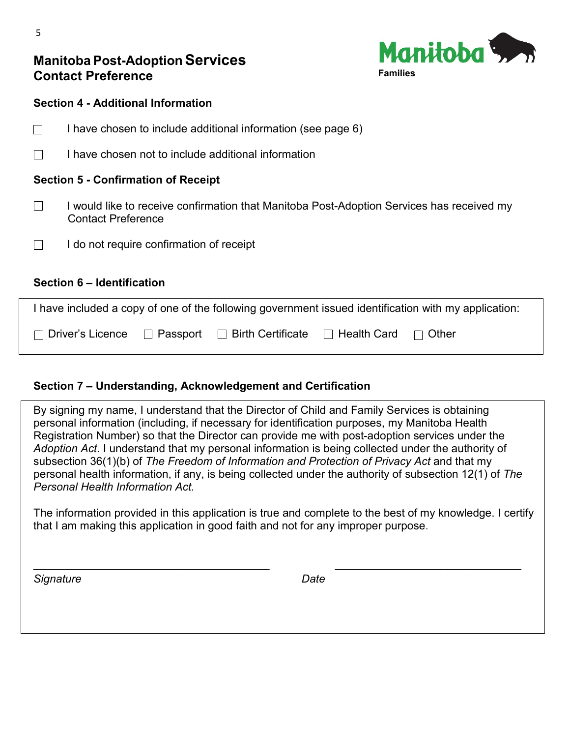## **Manitoba Post-AdoptionServices Contact Preference**



#### **Section 4 - Additional Information**

- $\Box$  I have chosen to include additional information (see page 6)
- $\Box$  I have chosen not to include additional information

#### **Section 5 - Confirmation of Receipt**

- $\Box$  I would like to receive confirmation that Manitoba Post-Adoption Services has received my Contact Preference
- $\Box$  I do not require confirmation of receipt

#### **Section 6 – Identification**

| I have included a copy of one of the following government issued identification with my application: |  |  |                                 |  |
|------------------------------------------------------------------------------------------------------|--|--|---------------------------------|--|
| $\Box$ Driver's Licence $\Box$ Passport $\Box$ Birth Certificate                                     |  |  | $\Box$ Health Card $\Box$ Other |  |

#### **Section 7 – Understanding, Acknowledgement and Certification**

By signing my name, I understand that the Director of Child and Family Services is obtaining personal information (including, if necessary for identification purposes, my Manitoba Health Registration Number) so that the Director can provide me with post-adoption services under the *Adoption Act*. I understand that my personal information is being collected under the authority of subsection 36(1)(b) of *The Freedom of Information and Protection of Privacy Act* and that my personal health information, if any, is being collected under the authority of subsection 12(1) of *The Personal Health Information Act.*

The information provided in this application is true and complete to the best of my knowledge. I certify that I am making this application in good faith and not for any improper purpose.

\_\_\_\_\_\_\_\_\_\_\_\_\_\_\_\_\_\_\_\_\_\_\_\_\_\_\_\_\_\_\_\_\_\_\_\_\_\_ \_\_\_\_\_\_\_\_\_\_\_\_\_\_\_\_\_\_\_\_\_\_\_\_\_\_\_\_\_\_

*Signature Date*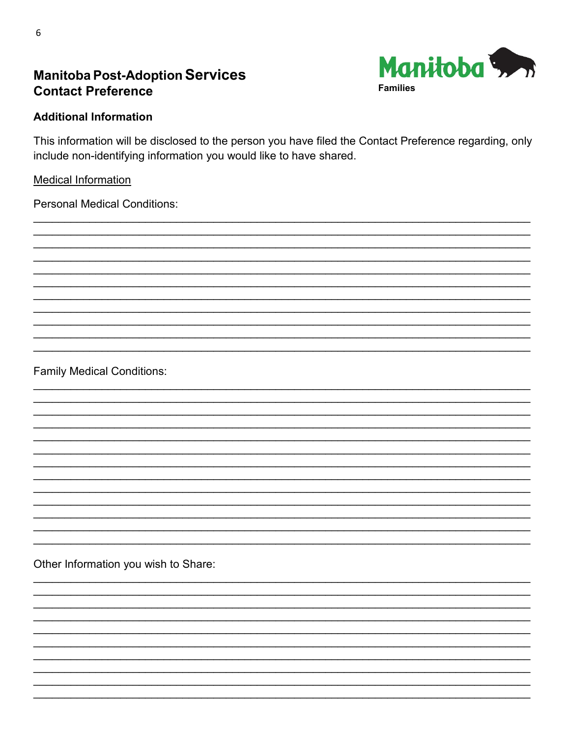

# **Manitoba Post-Adoption Services Contact Preference**

### **Additional Information**

This information will be disclosed to the person you have filed the Contact Preference regarding, only include non-identifying information you would like to have shared.

#### **Medical Information**

**Personal Medical Conditions:** 

**Family Medical Conditions:** 

Other Information you wish to Share: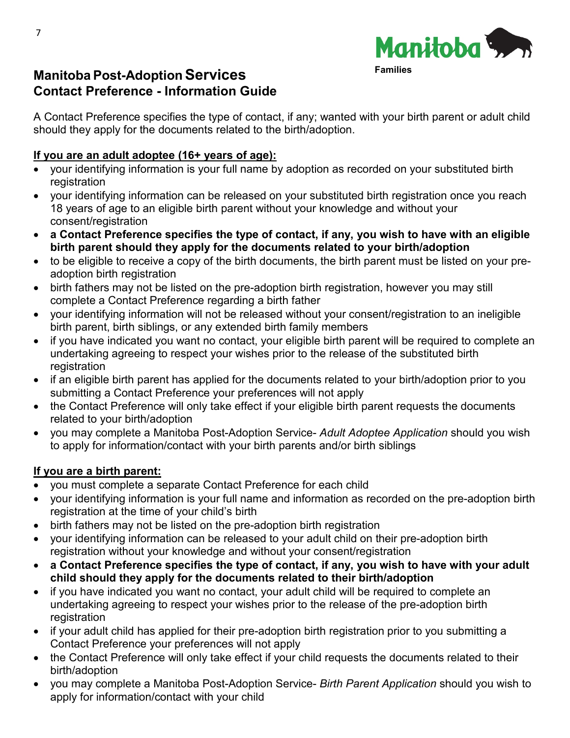

# **Manitoba Post-AdoptionServices Contact Preference - Information Guide**

A Contact Preference specifies the type of contact, if any; wanted with your birth parent or adult child should they apply for the documents related to the birth/adoption.

## **If you are an adult adoptee (16+ years of age):**

- your identifying information is your full name by adoption as recorded on your substituted birth registration
- your identifying information can be released on your substituted birth registration once you reach 18 years of age to an eligible birth parent without your knowledge and without your consent/registration
- **a Contact Preference specifies the type of contact, if any, you wish to have with an eligible birth parent should they apply for the documents related to your birth/adoption**
- to be eligible to receive a copy of the birth documents, the birth parent must be listed on your preadoption birth registration
- birth fathers may not be listed on the pre-adoption birth registration, however you may still complete a Contact Preference regarding a birth father
- your identifying information will not be released without your consent/registration to an ineligible birth parent, birth siblings, or any extended birth family members
- if you have indicated you want no contact, your eligible birth parent will be required to complete an undertaking agreeing to respect your wishes prior to the release of the substituted birth registration
- if an eligible birth parent has applied for the documents related to your birth/adoption prior to you submitting a Contact Preference your preferences will not apply
- the Contact Preference will only take effect if your eligible birth parent requests the documents related to your birth/adoption
- you may complete a Manitoba Post-Adoption Service- *Adult Adoptee Application* should you wish to apply for information/contact with your birth parents and/or birth siblings

## **If you are a birth parent:**

- you must complete a separate Contact Preference for each child
- your identifying information is your full name and information as recorded on the pre-adoption birth registration at the time of your child's birth
- birth fathers may not be listed on the pre-adoption birth registration
- your identifying information can be released to your adult child on their pre-adoption birth registration without your knowledge and without your consent/registration
- **a Contact Preference specifies the type of contact, if any, you wish to have with your adult child should they apply for the documents related to their birth/adoption**
- if you have indicated you want no contact, your adult child will be required to complete an undertaking agreeing to respect your wishes prior to the release of the pre-adoption birth registration
- if your adult child has applied for their pre-adoption birth registration prior to you submitting a Contact Preference your preferences will not apply
- the Contact Preference will only take effect if your child requests the documents related to their birth/adoption
- you may complete a Manitoba Post-Adoption Service- *Birth Parent Application* should you wish to apply for information/contact with your child